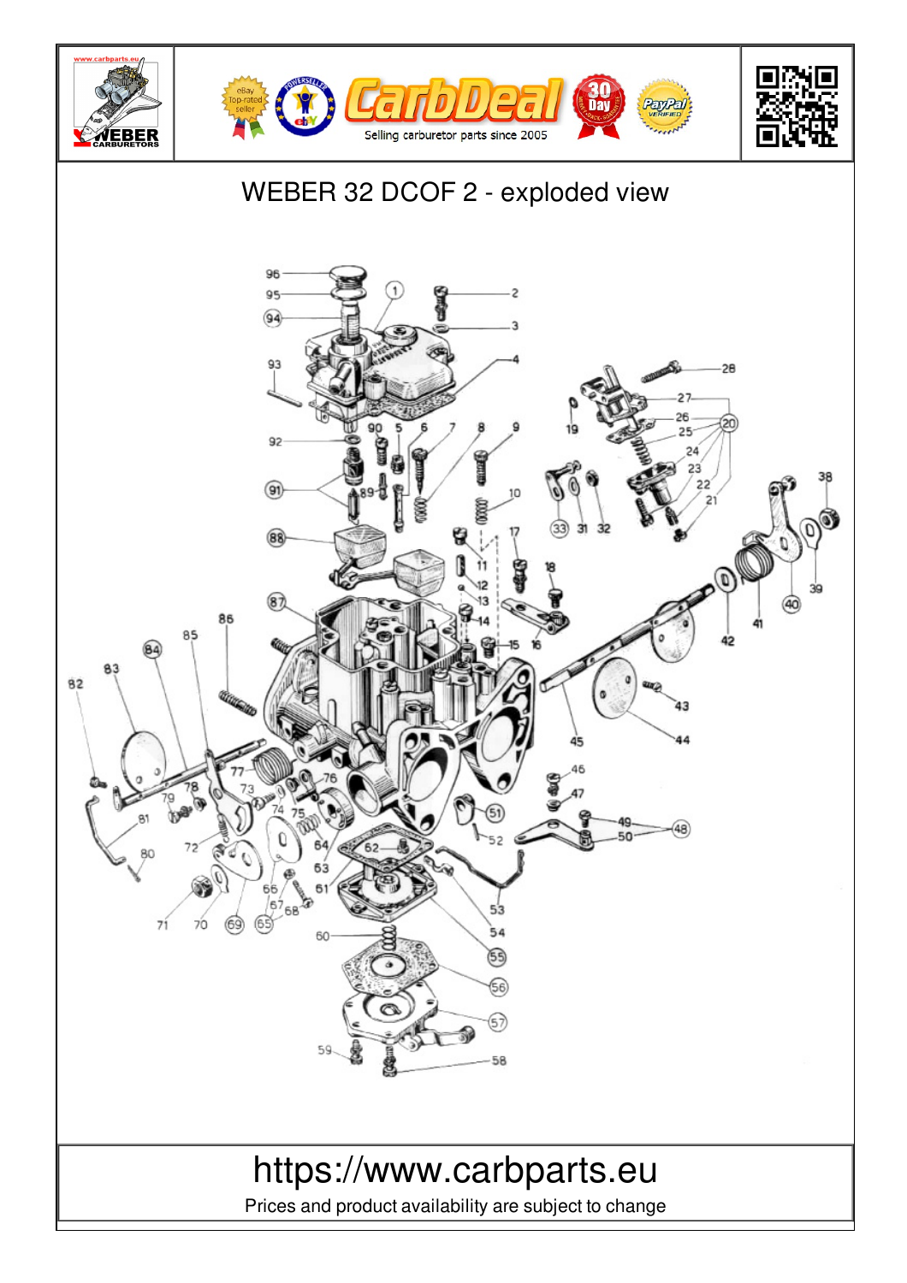